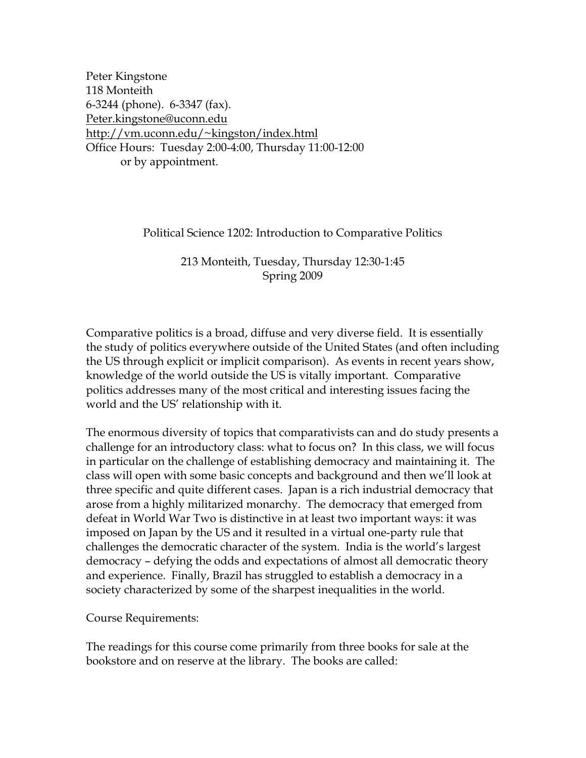Peter Kingstone 118 Monteith 6-3244 (phone). 6-3347 (fax). [Peter.kingstone@uconn.edu](mailto:Peter.kingstone@uconn.edu) [http://vm.uconn.edu/~kingston/index.html](http://vm.uconn.edu/%7Ekingston/index.html) Office Hours: Tuesday 2:00-4:00, Thursday 11:00-12:00 or by appointment.

Political Science 1202: Introduction to Comparative Politics

213 Monteith, Tuesday, Thursday 12:30-1:45 Spring 2009

Comparative politics is a broad, diffuse and very diverse field. It is essentially the study of politics everywhere outside of the United States (and often including the US through explicit or implicit comparison). As events in recent years show, knowledge of the world outside the US is vitally important. Comparative politics addresses many of the most critical and interesting issues facing the world and the US' relationship with it.

The enormous diversity of topics that comparativists can and do study presents a challenge for an introductory class: what to focus on? In this class, we will focus in particular on the challenge of establishing democracy and maintaining it. The class will open with some basic concepts and background and then we'll look at three specific and quite different cases. Japan is a rich industrial democracy that arose from a highly militarized monarchy. The democracy that emerged from defeat in World War Two is distinctive in at least two important ways: it was imposed on Japan by the US and it resulted in a virtual one-party rule that challenges the democratic character of the system. India is the world's largest democracy – defying the odds and expectations of almost all democratic theory and experience. Finally, Brazil has struggled to establish a democracy in a society characterized by some of the sharpest inequalities in the world.

Course Requirements:

The readings for this course come primarily from three books for sale at the bookstore and on reserve at the library. The books are called: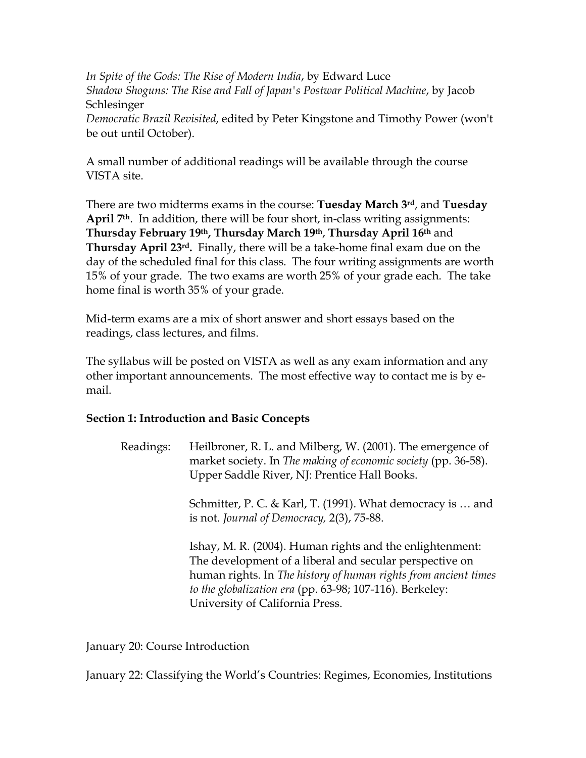*In Spite of the Gods: The Rise of Modern India*, by Edward Luce *Shadow Shoguns: The Rise and Fall of Japan's Postwar Political Machine*, by Jacob Schlesinger *Democratic Brazil Revisited*, edited by Peter Kingstone and Timothy Power (won't

be out until October).

A small number of additional readings will be available through the course VISTA site.

There are two midterms exams in the course: **Tuesday March 3rd**, and **Tuesday April 7th**. In addition, there will be four short, in-class writing assignments: **Thursday February 19th, Thursday March 19th**, **Thursday April 16th** and **Thursday April 23rd.** Finally, there will be a take-home final exam due on the day of the scheduled final for this class. The four writing assignments are worth 15% of your grade. The two exams are worth 25% of your grade each. The take home final is worth 35% of your grade.

Mid-term exams are a mix of short answer and short essays based on the readings, class lectures, and films.

The syllabus will be posted on VISTA as well as any exam information and any other important announcements. The most effective way to contact me is by email.

## **Section 1: Introduction and Basic Concepts**

| Readings: | Heilbroner, R. L. and Milberg, W. (2001). The emergence of<br>market society. In The making of economic society (pp. 36-58).<br>Upper Saddle River, NJ: Prentice Hall Books.                                                                       |
|-----------|----------------------------------------------------------------------------------------------------------------------------------------------------------------------------------------------------------------------------------------------------|
|           | Schmitter, P. C. & Karl, T. (1991). What democracy is  and<br>is not. Journal of Democracy, 2(3), 75-88.                                                                                                                                           |
|           | Ishay, M. R. (2004). Human rights and the enlightenment:<br>The development of a liberal and secular perspective on<br>human rights. In The history of human rights from ancient times<br>to the globalization era (pp. 63-98; 107-116). Berkeley: |

January 20: Course Introduction

January 22: Classifying the World's Countries: Regimes, Economies, Institutions

University of California Press.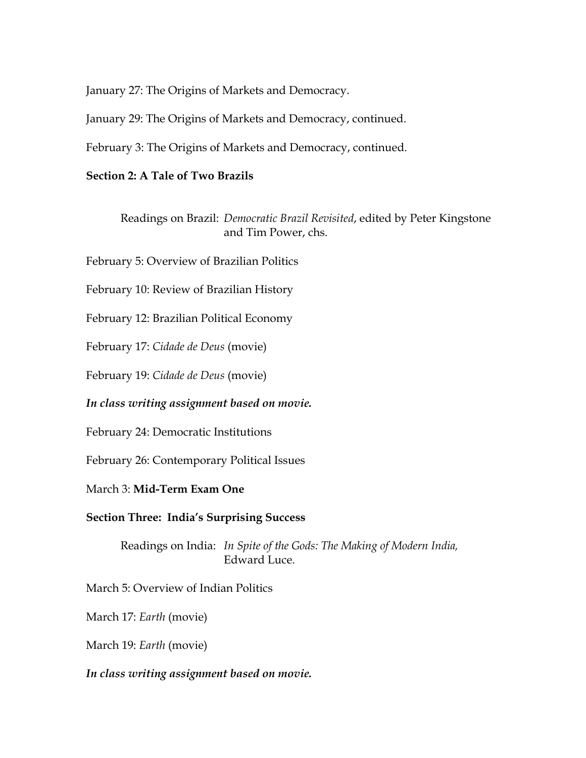January 27: The Origins of Markets and Democracy.

January 29: The Origins of Markets and Democracy, continued.

February 3: The Origins of Markets and Democracy, continued.

## **Section 2: A Tale of Two Brazils**

Readings on Brazil: *Democratic Brazil Revisited*, edited by Peter Kingstone and Tim Power, chs.

February 5: Overview of Brazilian Politics

February 10: Review of Brazilian History

February 12: Brazilian Political Economy

February 17: *Cidade de Deus* (movie)

February 19: *Cidade de Deus* (movie)

*In class writing assignment based on movie.* 

February 24: Democratic Institutions

February 26: Contemporary Political Issues

March 3: **Mid-Term Exam One**

**Section Three: India's Surprising Success**

Readings on India: *In Spite of the Gods: The Making of Modern India,*  Edward Luce.

March 5: Overview of Indian Politics

March 17: *Earth* (movie)

March 19: *Earth* (movie)

*In class writing assignment based on movie.*